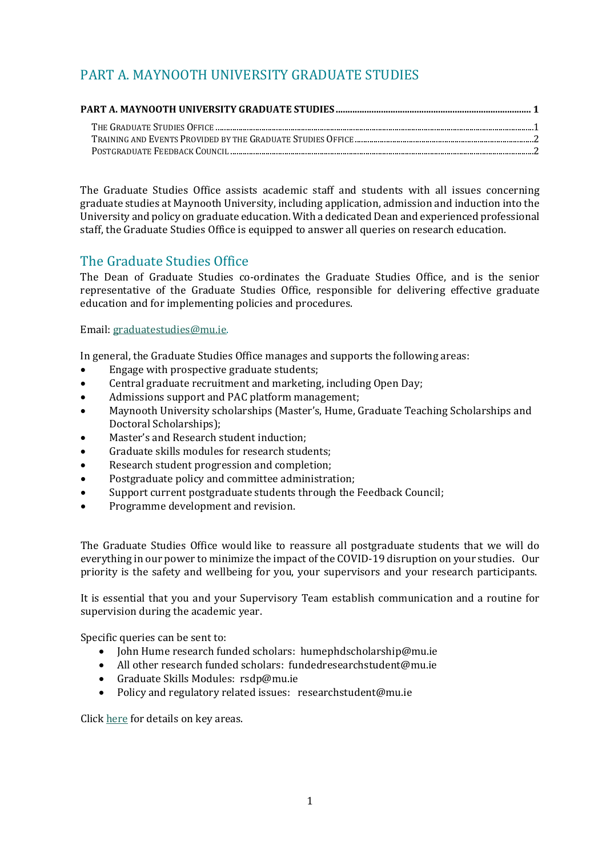## <span id="page-0-0"></span>PART A. MAYNOOTH UNIVERSITY GRADUATE STUDIES

The Graduate Studies Office assists academic staff and students with all issues concerning graduate studies at Maynooth University, including application, admission and induction into the University and policy on graduate education. With a dedicated Dean and experienced professional staff, the Graduate Studies Office is equipped to answer all queries on research education.

## <span id="page-0-1"></span>The Graduate Studies Office

The Dean of Graduate Studies co-ordinates the Graduate Studies Office, and is the senior representative of the Graduate Studies Office, responsible for delivering effective graduate education and for implementing policies and procedures.

Email: [graduatestudies@mu.ie.](mailto:graduatestudies@mu.ie)

In general, the Graduate Studies Office manages and supports the following areas:

- Engage with prospective graduate students;
- Central graduate recruitment and marketing, including Open Day;
- Admissions support and PAC platform management;
- Maynooth University scholarships (Master's, Hume, Graduate Teaching Scholarships and Doctoral Scholarships);
- Master's and Research student induction;
- Graduate skills modules for research students;
- Research student progression and completion;
- Postgraduate policy and committee administration;
- Support current postgraduate students through the Feedback Council;
- Programme development and revision.

The Graduate Studies Office would like to reassure all postgraduate students that we will do everything in our power to minimize the impact of the COVID-19 disruption on your studies. Our priority is the safety and wellbeing for you, your supervisors and your research participants.

It is essential that you and your Supervisory Team establish communication and a routine for supervision during the academic year.

Specific queries can be sent to:

- John Hume research funded scholars: humephdscholarship@mu.ie
- All other research funded scholars: fundedresearchstudent@mu.ie
- Graduate Skills Modules: rsdp@mu.ie
- Policy and regulatory related issues: researchstudent@mu.ie

Clic[k here](https://www.maynoothuniversity.ie/graduate-studies/research-students-covid-19) for details on key areas.